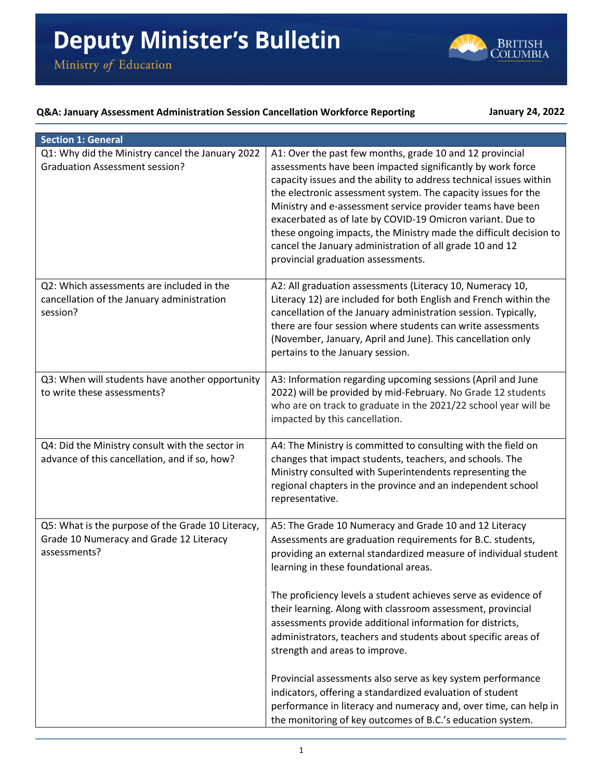

## **Q&A: January Assessment Administration Session Cancellation Workforce Reporting January 24, 2022**

| <b>Section 1: General</b>                                                                                    |                                                                                                                                                                                                                                                                                                                                                                                                                                                                                                                                                                   |
|--------------------------------------------------------------------------------------------------------------|-------------------------------------------------------------------------------------------------------------------------------------------------------------------------------------------------------------------------------------------------------------------------------------------------------------------------------------------------------------------------------------------------------------------------------------------------------------------------------------------------------------------------------------------------------------------|
| Q1: Why did the Ministry cancel the January 2022<br><b>Graduation Assessment session?</b>                    | A1: Over the past few months, grade 10 and 12 provincial<br>assessments have been impacted significantly by work force<br>capacity issues and the ability to address technical issues within<br>the electronic assessment system. The capacity issues for the<br>Ministry and e-assessment service provider teams have been<br>exacerbated as of late by COVID-19 Omicron variant. Due to<br>these ongoing impacts, the Ministry made the difficult decision to<br>cancel the January administration of all grade 10 and 12<br>provincial graduation assessments. |
| Q2: Which assessments are included in the<br>cancellation of the January administration<br>session?          | A2: All graduation assessments (Literacy 10, Numeracy 10,<br>Literacy 12) are included for both English and French within the<br>cancellation of the January administration session. Typically,<br>there are four session where students can write assessments<br>(November, January, April and June). This cancellation only<br>pertains to the January session.                                                                                                                                                                                                 |
| Q3: When will students have another opportunity<br>to write these assessments?                               | A3: Information regarding upcoming sessions (April and June<br>2022) will be provided by mid-February. No Grade 12 students<br>who are on track to graduate in the 2021/22 school year will be<br>impacted by this cancellation.                                                                                                                                                                                                                                                                                                                                  |
| Q4: Did the Ministry consult with the sector in<br>advance of this cancellation, and if so, how?             | A4: The Ministry is committed to consulting with the field on<br>changes that impact students, teachers, and schools. The<br>Ministry consulted with Superintendents representing the<br>regional chapters in the province and an independent school<br>representative.                                                                                                                                                                                                                                                                                           |
| Q5: What is the purpose of the Grade 10 Literacy,<br>Grade 10 Numeracy and Grade 12 Literacy<br>assessments? | A5: The Grade 10 Numeracy and Grade 10 and 12 Literacy<br>Assessments are graduation requirements for B.C. students,<br>providing an external standardized measure of individual student<br>learning in these foundational areas.                                                                                                                                                                                                                                                                                                                                 |
|                                                                                                              | The proficiency levels a student achieves serve as evidence of<br>their learning. Along with classroom assessment, provincial<br>assessments provide additional information for districts,<br>administrators, teachers and students about specific areas of<br>strength and areas to improve.                                                                                                                                                                                                                                                                     |
|                                                                                                              | Provincial assessments also serve as key system performance<br>indicators, offering a standardized evaluation of student<br>performance in literacy and numeracy and, over time, can help in<br>the monitoring of key outcomes of B.C.'s education system.                                                                                                                                                                                                                                                                                                        |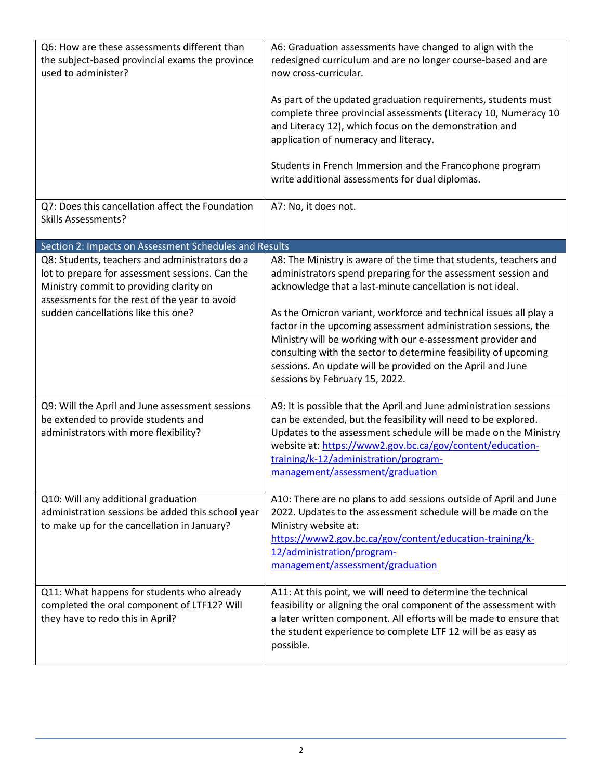| Q6: How are these assessments different than<br>the subject-based provincial exams the province<br>used to administer?                                                                                                               | A6: Graduation assessments have changed to align with the<br>redesigned curriculum and are no longer course-based and are<br>now cross-curricular.<br>As part of the updated graduation requirements, students must<br>complete three provincial assessments (Literacy 10, Numeracy 10<br>and Literacy 12), which focus on the demonstration and<br>application of numeracy and literacy.<br>Students in French Immersion and the Francophone program<br>write additional assessments for dual diplomas.                                                                 |
|--------------------------------------------------------------------------------------------------------------------------------------------------------------------------------------------------------------------------------------|--------------------------------------------------------------------------------------------------------------------------------------------------------------------------------------------------------------------------------------------------------------------------------------------------------------------------------------------------------------------------------------------------------------------------------------------------------------------------------------------------------------------------------------------------------------------------|
| Q7: Does this cancellation affect the Foundation<br><b>Skills Assessments?</b>                                                                                                                                                       | A7: No, it does not.                                                                                                                                                                                                                                                                                                                                                                                                                                                                                                                                                     |
| Section 2: Impacts on Assessment Schedules and Results                                                                                                                                                                               |                                                                                                                                                                                                                                                                                                                                                                                                                                                                                                                                                                          |
| Q8: Students, teachers and administrators do a<br>lot to prepare for assessment sessions. Can the<br>Ministry commit to providing clarity on<br>assessments for the rest of the year to avoid<br>sudden cancellations like this one? | A8: The Ministry is aware of the time that students, teachers and<br>administrators spend preparing for the assessment session and<br>acknowledge that a last-minute cancellation is not ideal.<br>As the Omicron variant, workforce and technical issues all play a<br>factor in the upcoming assessment administration sessions, the<br>Ministry will be working with our e-assessment provider and<br>consulting with the sector to determine feasibility of upcoming<br>sessions. An update will be provided on the April and June<br>sessions by February 15, 2022. |
| Q9: Will the April and June assessment sessions<br>be extended to provide students and<br>administrators with more flexibility?                                                                                                      | A9: It is possible that the April and June administration sessions<br>can be extended, but the feasibility will need to be explored.<br>Updates to the assessment schedule will be made on the Ministry<br>website at: https://www2.gov.bc.ca/gov/content/education-<br>training/k-12/administration/program-<br>management/assessment/graduation                                                                                                                                                                                                                        |
| Q10: Will any additional graduation<br>administration sessions be added this school year<br>to make up for the cancellation in January?                                                                                              | A10: There are no plans to add sessions outside of April and June<br>2022. Updates to the assessment schedule will be made on the<br>Ministry website at:<br>https://www2.gov.bc.ca/gov/content/education-training/k-<br>12/administration/program-<br>management/assessment/graduation                                                                                                                                                                                                                                                                                  |
| Q11: What happens for students who already<br>completed the oral component of LTF12? Will<br>they have to redo this in April?                                                                                                        | A11: At this point, we will need to determine the technical<br>feasibility or aligning the oral component of the assessment with<br>a later written component. All efforts will be made to ensure that<br>the student experience to complete LTF 12 will be as easy as<br>possible.                                                                                                                                                                                                                                                                                      |